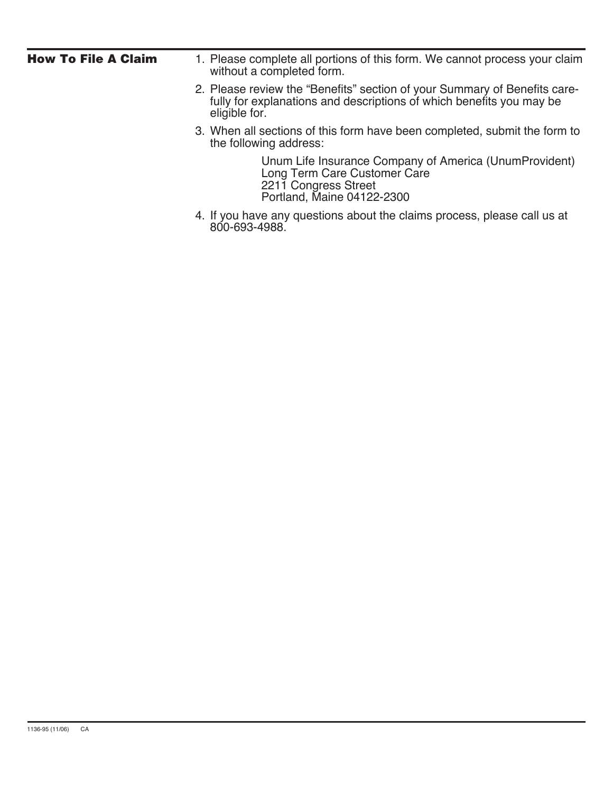| <b>How To File A Claim</b> | 1. Please complete all portions of this form. We cannot process your claim<br>without a completed form.                                                            |
|----------------------------|--------------------------------------------------------------------------------------------------------------------------------------------------------------------|
|                            | 2. Please review the "Benefits" section of your Summary of Benefits care-<br>fully for explanations and descriptions of which benefits you may be<br>eligible for. |
|                            | 3. When all sections of this form have been completed, submit the form to<br>the following address:                                                                |
|                            | Unum Life Insurance Company of America (UnumProvident)<br>Long Term Care Customer Care<br>2211 Congress Street<br>Portland, Maine 04122-2300                       |
|                            | 4. If you have any questions about the claims process, please call us at<br>800-693-4988.                                                                          |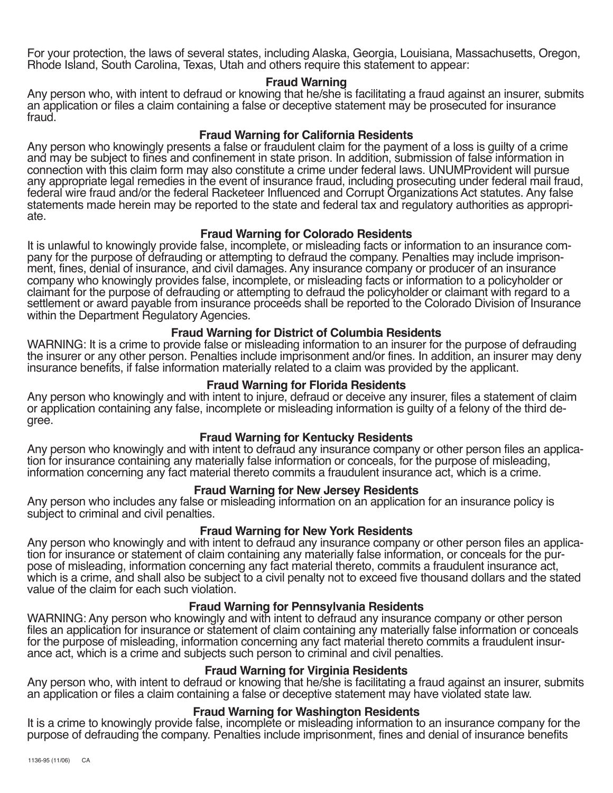For your protection, the laws of several states, including Alaska, Georgia, Louisiana, Massachusetts, Oregon, Rhode Island, South Carolina, Texas, Utah and others require this statement to appear:

#### **Fraud Warning**

Any person who, with intent to defraud or knowing that he/she is facilitating a fraud against an insurer, submits an application or files a claim containing a false or deceptive statement may be prosecuted for insurance fraud.

#### **Fraud Warning for California Residents**

Any person who knowingly presents a false or fraudulent claim for the payment of a loss is guilty of a crime and may be subject to fines and confinement in state prison. In addition, submission of false information in connection with this claim form may also constitute a crime under federal laws. UNUMProvident will pursue any appropriate legal remedies in the event of insurance fraud, including prosecuting under federal mail fraud, federal wire fraud and/or the federal Racketeer Influenced and Corrupt Organizations Act statutes. Any false statements made herein may be reported to the state and federal tax and regulatory authorities as appropriate.

#### **Fraud Warning for Colorado Residents**

It is unlawful to knowingly provide false, incomplete, or misleading facts or information to an insurance company for the purpose of defrauding or attempting to defraud the company. Penalties may include imprisonment, fines, denial of insurance, and civil damages. Any insurance company or producer of an insurance company who knowingly provides false, incomplete, or misleading facts or information to a policyholder or claimant for the purpose of defrauding or attempting to defraud the policyholder or claimant with regard to a settlement or award payable from insurance proceeds shall be reported to the Colorado Division of Insurance within the Department Regulatory Agencies.

#### **Fraud Warning for District of Columbia Residents**

WARNING: It is a crime to provide false or misleading information to an insurer for the purpose of defrauding the insurer or any other person. Penalties include imprisonment and/or fines. In addition, an insurer may deny insurance benefits, if false information materially related to a claim was provided by the applicant.

#### **Fraud Warning for Florida Residents**

Any person who knowingly and with intent to injure, defraud or deceive any insurer, files a statement of claim or application containing any false, incomplete or misleading information is guilty of a felony of the third degree.

## **Fraud Warning for Kentucky Residents**

Any person who knowingly and with intent to defraud any insurance company or other person files an application for insurance containing any materially false information or conceals, for the purpose of misleading, information concerning any fact material thereto commits a fraudulent insurance act, which is a crime.

## **Fraud Warning for New Jersey Residents**

Any person who includes any false or misleading information on an application for an insurance policy is subject to criminal and civil penalties.

## **Fraud Warning for New York Residents**

Any person who knowingly and with intent to defraud any insurance company or other person files an application for insurance or statement of claim containing any materially false information, or conceals for the purpose of misleading, information concerning any fact material thereto, commits a fraudulent insurance act, which is a crime, and shall also be subject to a civil penalty not to exceed five thousand dollars and the stated value of the claim for each such violation.

## **Fraud Warning for Pennsylvania Residents**

WARNING: Any person who knowingly and with intent to defraud any insurance company or other person files an application for insurance or statement of claim containing any materially false information or conceals for the purpose of misleading, information concerning any fact material thereto commits a fraudulent insurance act, which is a crime and subjects such person to criminal and civil penalties.

## **Fraud Warning for Virginia Residents**

Any person who, with intent to defraud or knowing that he/she is facilitating a fraud against an insurer, submits an application or files a claim containing a false or deceptive statement may have violated state law.

## **Fraud Warning for Washington Residents**

It is a crime to knowingly provide false, incomplete or misleading information to an insurance company for the purpose of defrauding the company. Penalties include imprisonment, fines and denial of insurance benefits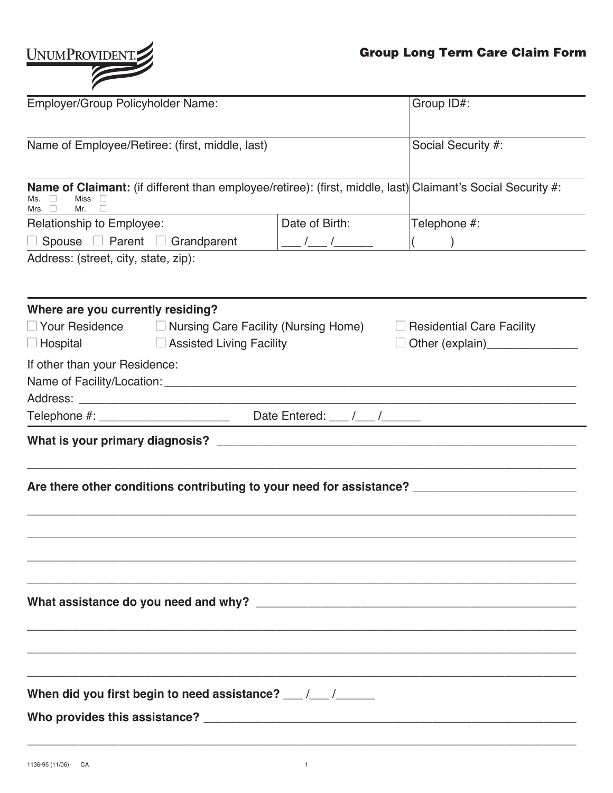

| Employer/Group Policyholder Name:                                                                                                                                           | Group ID#:                                                                 |                                                                                                                                                                                                                                                                                                                                                                                                                                 |
|-----------------------------------------------------------------------------------------------------------------------------------------------------------------------------|----------------------------------------------------------------------------|---------------------------------------------------------------------------------------------------------------------------------------------------------------------------------------------------------------------------------------------------------------------------------------------------------------------------------------------------------------------------------------------------------------------------------|
| Name of Employee/Retiree: (first, middle, last)                                                                                                                             | Social Security #:                                                         |                                                                                                                                                                                                                                                                                                                                                                                                                                 |
|                                                                                                                                                                             |                                                                            |                                                                                                                                                                                                                                                                                                                                                                                                                                 |
| <b>Name of Claimant:</b> (if different than employee/retiree): (first, middle, last) Claimant's Social Security #:<br>Miss $\square$<br>Ms.<br>Mrs. $\Box$<br>Mr.<br>$\Box$ |                                                                            |                                                                                                                                                                                                                                                                                                                                                                                                                                 |
| Relationship to Employee:                                                                                                                                                   | Date of Birth:                                                             | Telephone #:                                                                                                                                                                                                                                                                                                                                                                                                                    |
| $\Box$ Spouse $\Box$ Parent $\Box$ Grandparent                                                                                                                              |                                                                            | $\frac{1}{\sqrt{1-\frac{1}{2}}}\frac{1}{\sqrt{1-\frac{1}{2}}}\frac{1}{\sqrt{1-\frac{1}{2}}}\frac{1}{\sqrt{1-\frac{1}{2}}}\frac{1}{\sqrt{1-\frac{1}{2}}}\frac{1}{\sqrt{1-\frac{1}{2}}}\frac{1}{\sqrt{1-\frac{1}{2}}}\frac{1}{\sqrt{1-\frac{1}{2}}}\frac{1}{\sqrt{1-\frac{1}{2}}}\frac{1}{\sqrt{1-\frac{1}{2}}}\frac{1}{\sqrt{1-\frac{1}{2}}}\frac{1}{\sqrt{1-\frac{1}{2}}}\frac{1}{\sqrt{1-\frac{1}{2}}}\frac{1}{\sqrt{1-\frac{$ |
| Address: (street, city, state, zip):                                                                                                                                        |                                                                            |                                                                                                                                                                                                                                                                                                                                                                                                                                 |
| Where are you currently residing?                                                                                                                                           |                                                                            |                                                                                                                                                                                                                                                                                                                                                                                                                                 |
| $\Box$ Your Residence $\Box$ Nursing Care Facility (Nursing Home)<br>□ Assisted Living Facility<br>$\Box$ Hospital                                                          | $\Box$ Residential Care Facility<br>□ Other (explain)<br>□ Other (explain) |                                                                                                                                                                                                                                                                                                                                                                                                                                 |
| If other than your Residence:                                                                                                                                               |                                                                            |                                                                                                                                                                                                                                                                                                                                                                                                                                 |
|                                                                                                                                                                             |                                                                            |                                                                                                                                                                                                                                                                                                                                                                                                                                 |
|                                                                                                                                                                             |                                                                            |                                                                                                                                                                                                                                                                                                                                                                                                                                 |
| Are there other conditions contributing to your need for assistance? _______________________________                                                                        |                                                                            |                                                                                                                                                                                                                                                                                                                                                                                                                                 |
|                                                                                                                                                                             |                                                                            |                                                                                                                                                                                                                                                                                                                                                                                                                                 |
| When did you first begin to need assistance? __/_/_/_____________________________                                                                                           |                                                                            |                                                                                                                                                                                                                                                                                                                                                                                                                                 |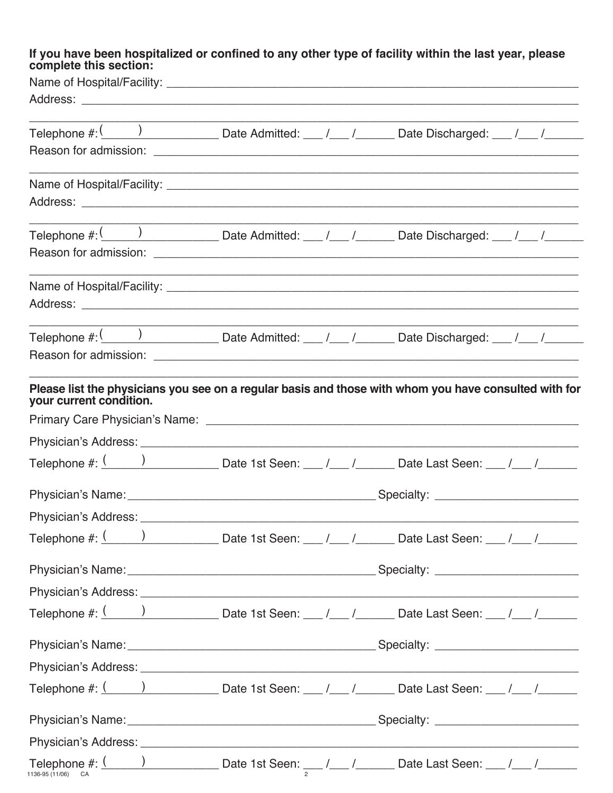# If you have been hospitalized or confined to any other type of facility within the last year, please complete this section:

| Telephone #: $\frac{( \ \ )$ Date Admitted: __ /__ /___ Date Discharged: __ /__ /_____                                                           |  |  |  |                                                                                                                      |  |  |
|--------------------------------------------------------------------------------------------------------------------------------------------------|--|--|--|----------------------------------------------------------------------------------------------------------------------|--|--|
|                                                                                                                                                  |  |  |  |                                                                                                                      |  |  |
|                                                                                                                                                  |  |  |  |                                                                                                                      |  |  |
|                                                                                                                                                  |  |  |  |                                                                                                                      |  |  |
| Telephone #: $\frac{(n-1)(n-1)}{2}$ Date Admitted: __ /__ /___ Date Discharged: __ /__ /_____                                                    |  |  |  |                                                                                                                      |  |  |
|                                                                                                                                                  |  |  |  |                                                                                                                      |  |  |
|                                                                                                                                                  |  |  |  | <u> 1980 - Andrea Santa Andrea Andrea Andrea Andrea Andrea Andrea Andrea Andrea Andrea Andrea Andrea Andrea Andr</u> |  |  |
|                                                                                                                                                  |  |  |  |                                                                                                                      |  |  |
|                                                                                                                                                  |  |  |  |                                                                                                                      |  |  |
|                                                                                                                                                  |  |  |  |                                                                                                                      |  |  |
| Please list the physicians you see on a regular basis and those with whom you have consulted with for<br>your current condition.                 |  |  |  |                                                                                                                      |  |  |
|                                                                                                                                                  |  |  |  |                                                                                                                      |  |  |
|                                                                                                                                                  |  |  |  |                                                                                                                      |  |  |
| Telephone #: $\frac{(n+1)(n+1)(n+2)}{n+1}$ Date 1st Seen: __ /__ /_____ Date Last Seen: __ /__ /______                                           |  |  |  |                                                                                                                      |  |  |
|                                                                                                                                                  |  |  |  |                                                                                                                      |  |  |
| Physician's Address: North American School and Contract of the Contract of the Contract of the Contract of the                                   |  |  |  |                                                                                                                      |  |  |
| Telephone #: $\frac{(n+1)(n+1)(n+2)}{n+1}$ Date 1st Seen: __ /__ /_____ Date Last Seen: __ /__ /_____                                            |  |  |  |                                                                                                                      |  |  |
|                                                                                                                                                  |  |  |  |                                                                                                                      |  |  |
|                                                                                                                                                  |  |  |  |                                                                                                                      |  |  |
| Telephone #: $\frac{(n+1)(n+1)(n+2)}{n+1}$ Date 1st Seen: __ /__ /_____ Date Last Seen: __ /__ /_____                                            |  |  |  |                                                                                                                      |  |  |
|                                                                                                                                                  |  |  |  |                                                                                                                      |  |  |
|                                                                                                                                                  |  |  |  |                                                                                                                      |  |  |
| Telephone #: $\frac{(n+1)(n+1)(n+2)}{n+1}$ Date 1st Seen: __ /__ /__ __ Date Last Seen: __ /__ /___ /____                                        |  |  |  |                                                                                                                      |  |  |
|                                                                                                                                                  |  |  |  |                                                                                                                      |  |  |
|                                                                                                                                                  |  |  |  |                                                                                                                      |  |  |
| Telephone #: $\underbrace{( ) \qquad }$ Date 1st Seen: $\underbrace{ / \qquad }$ Date Last Seen: $\underbrace{ / \qquad }$<br>1136-95 (11/06) CA |  |  |  |                                                                                                                      |  |  |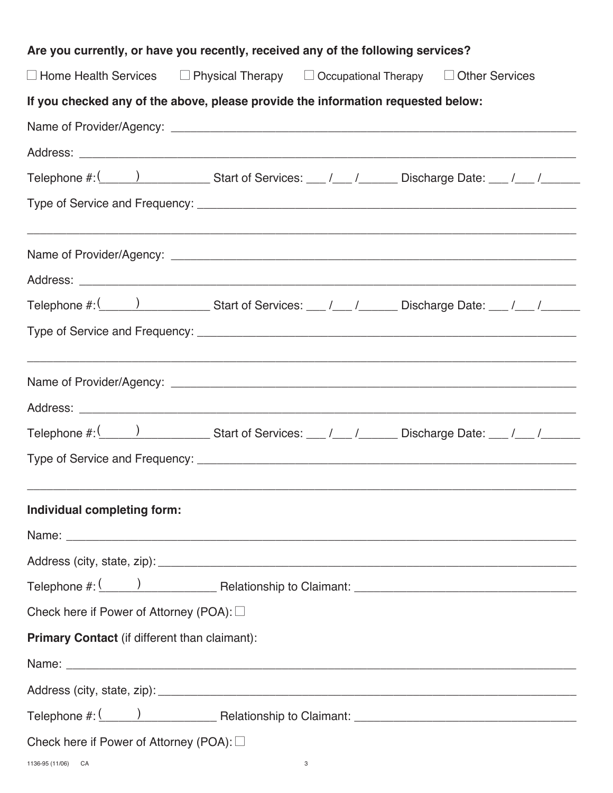| Are you currently, or have you recently, received any of the following services? |   |                                                                                                                                                                                                                               |  |
|----------------------------------------------------------------------------------|---|-------------------------------------------------------------------------------------------------------------------------------------------------------------------------------------------------------------------------------|--|
|                                                                                  |   | $\Box$ Home Health Services $\Box$ Physical Therapy $\Box$ Occupational Therapy $\Box$ Other Services                                                                                                                         |  |
| If you checked any of the above, please provide the information requested below: |   |                                                                                                                                                                                                                               |  |
|                                                                                  |   |                                                                                                                                                                                                                               |  |
|                                                                                  |   |                                                                                                                                                                                                                               |  |
|                                                                                  |   |                                                                                                                                                                                                                               |  |
|                                                                                  |   |                                                                                                                                                                                                                               |  |
|                                                                                  |   |                                                                                                                                                                                                                               |  |
|                                                                                  |   |                                                                                                                                                                                                                               |  |
|                                                                                  |   | Telephone $\#$ : $\frac{1}{\sqrt{1-\frac{1}{2}}}\$ Start of Services: __ $\frac{1}{\sqrt{1-\frac{1}{2}}}\$ Discharge Date: __ $\frac{1}{\sqrt{1-\frac{1}{2}}}\$                                                               |  |
|                                                                                  |   |                                                                                                                                                                                                                               |  |
|                                                                                  |   |                                                                                                                                                                                                                               |  |
|                                                                                  |   |                                                                                                                                                                                                                               |  |
|                                                                                  |   |                                                                                                                                                                                                                               |  |
|                                                                                  |   |                                                                                                                                                                                                                               |  |
| Individual completing form:                                                      |   |                                                                                                                                                                                                                               |  |
|                                                                                  |   |                                                                                                                                                                                                                               |  |
|                                                                                  |   |                                                                                                                                                                                                                               |  |
|                                                                                  |   |                                                                                                                                                                                                                               |  |
| Check here if Power of Attorney (POA): □                                         |   |                                                                                                                                                                                                                               |  |
| Primary Contact (if different than claimant):                                    |   |                                                                                                                                                                                                                               |  |
|                                                                                  |   | Name: Name: Name: Name: Name: Name: Name: Name: Name: Name: Name: Name: Name: Name: Name: Name: Name: Name: Name: Name: Name: Name: Name: Name: Name: Name: Name: Name: Name: Name: Name: Name: Name: Name: Name: Name: Name: |  |
|                                                                                  |   |                                                                                                                                                                                                                               |  |
|                                                                                  |   |                                                                                                                                                                                                                               |  |
| Check here if Power of Attorney (POA): $\square$                                 |   |                                                                                                                                                                                                                               |  |
| 1136-95 (11/06) CA                                                               | 3 |                                                                                                                                                                                                                               |  |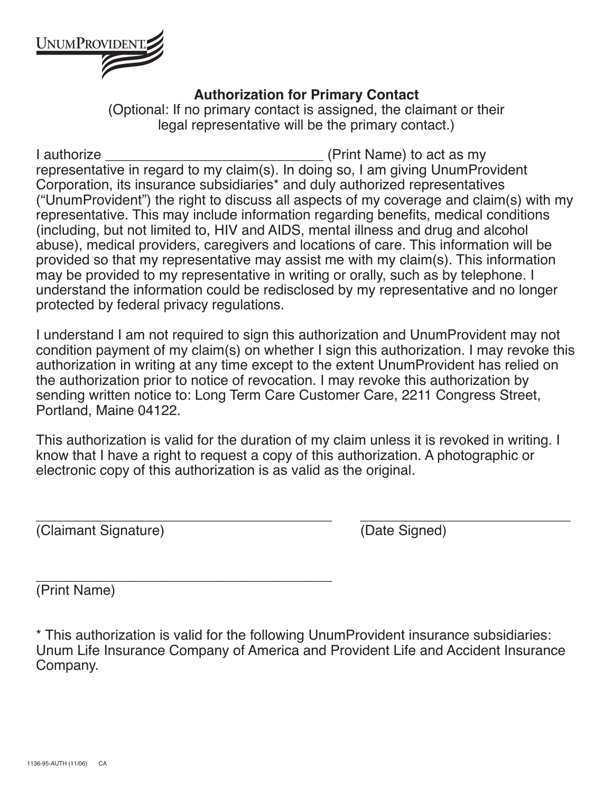

## **Authorization for Primary Contact**

(Optional: If no primary contact is assigned, the claimant or their legal representative will be the primary contact.)

I authorize **I** authorize **I** authorize representative in regard to my claim(s). In doing so, I am giving UnumProvident Corporation, its insurance subsidiaries\* and duly authorized representatives ("UnumProvident") the right to discuss all aspects of my coverage and claim(s) with my representative. This may include information regarding benefits, medical conditions (including, but not limited to, HIV and AIDS, mental illness and drug and alcohol abuse), medical providers, caregivers and locations of care. This information will be provided so that my representative may assist me with my claim(s). This information may be provided to my representative in writing or orally, such as by telephone. I understand the information could be redisclosed by my representative and no longer protected by federal privacy regulations.

I understand I am not required to sign this authorization and UnumProvident may not condition payment of my claim(s) on whether I sign this authorization. I may revoke this authorization in writing at any time except to the extent UnumProvident has relied on the authorization prior to notice of revocation. I may revoke this authorization by sending written notice to: Long Term Care Customer Care, 2211 Congress Street, Portland, Maine 04122.

This authorization is valid for the duration of my claim unless it is revoked in writing. I know that I have a right to request a copy of this authorization. A photographic or electronic copy of this authorization is as valid as the original.

(Claimant Signature) (Date Signed)

\_\_\_\_\_\_\_\_\_\_\_\_\_\_\_\_\_\_\_\_\_\_\_\_\_\_\_\_\_\_\_\_\_\_\_\_\_\_ \_\_\_\_\_\_\_\_\_\_\_\_\_\_\_\_\_\_\_\_\_\_\_\_\_\_\_

\_\_\_\_\_\_\_\_\_\_\_\_\_\_\_\_\_\_\_\_\_\_\_\_\_\_\_\_\_\_\_\_\_\_\_\_\_\_ (Print Name)

\* This authorization is valid for the following UnumProvident insurance subsidiaries: Unum Life Insurance Company of America and Provident Life and Accident Insurance Company.